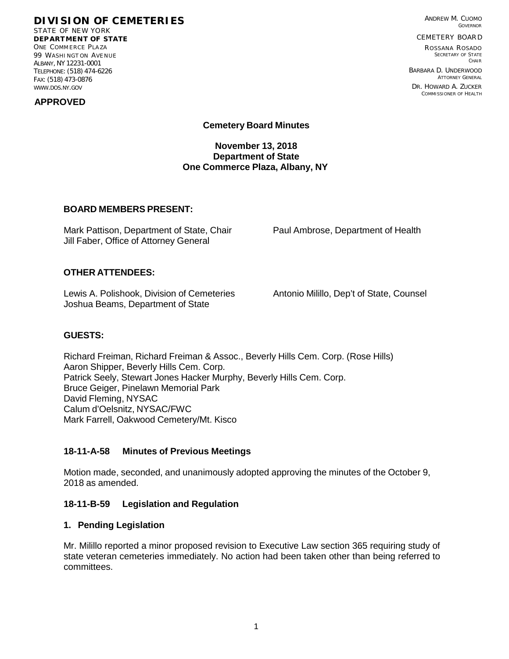# **DIVISION OF CEMETERIES**

STATE OF NEW YORK **DEP ART MENT OF STATE** ONE COMMERCE PLAZA 99 WASHI NGT ON AVE NUE ALBANY, NY 12231-0001 TELEPHONE: (518) 474-6226 FAX: (518) 473-0876 [WWW.DOS.NY.GOV](http://www.dos.ny.gov/)

 **APPROVED**

ANDREW M. CUOMO GOVERNOR

CEMETERY BOAR D

R OSSANA R OSADO SECRETARY OF STATE CHAIR

BARBARA D. UNDERWOOD ATTORNEY GENERAL DR. HOWARD A. ZUCKER COMMISSIONER OF HEALTH

**Cemetery Board Minutes**

**November 13, 2018 Department of State One Commerce Plaza, Albany, NY**

## **BOARD MEMBERS PRESENT:**

Mark Pattison, Department of State, Chair Paul Ambrose, Department of Health Jill Faber, Office of Attorney General

# **OTHER ATTENDEES:**

Lewis A. Polishook, Division of Cemeteries Antonio Milillo, Dep't of State, Counsel Joshua Beams, Department of State

#### **GUESTS:**

Richard Freiman, Richard Freiman & Assoc., Beverly Hills Cem. Corp. (Rose Hills) Aaron Shipper, Beverly Hills Cem. Corp. Patrick Seely, Stewart Jones Hacker Murphy, Beverly Hills Cem. Corp. Bruce Geiger, Pinelawn Memorial Park David Fleming, NYSAC Calum d'Oelsnitz, NYSAC/FWC Mark Farrell, Oakwood Cemetery/Mt. Kisco

# **18-11-A-58 Minutes of Previous Meetings**

Motion made, seconded, and unanimously adopted approving the minutes of the October 9, 2018 as amended.

#### **18-11-B-59 Legislation and Regulation**

#### **1. Pending Legislation**

Mr. Milillo reported a minor proposed revision to Executive Law section 365 requiring study of state veteran cemeteries immediately. No action had been taken other than being referred to committees.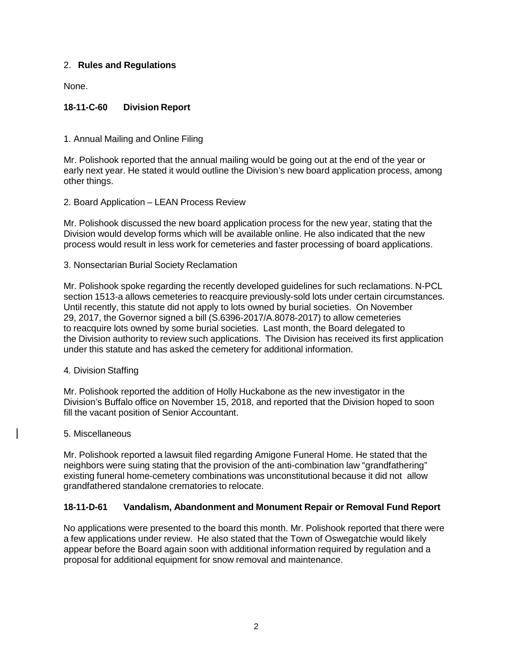# 2. **Rules and Regulations**

None.

# **18-11-C-60 Division Report**

1. Annual Mailing and Online Filing

Mr. Polishook reported that the annual mailing would be going out at the end of the year or early next year. He stated it would outline the Division's new board application process, among other things.

## 2. Board Application – LEAN Process Review

Mr. Polishook discussed the new board application process for the new year, stating that the Division would develop forms which will be available online. He also indicated that the new process would result in less work for cemeteries and faster processing of board applications.

3. Nonsectarian Burial Society Reclamation

Mr. Polishook spoke regarding the recently developed guidelines for such reclamations. N-PCL section 1513-a allows cemeteries to reacquire previously-sold lots under certain circumstances. Until recently, this statute did not apply to lots owned by burial societies. On November 29, 2017, the Governor signed a bill (S.6396-2017/A.8078-2017) to allow cemeteries to reacquire lots owned by some burial societies. Last month, the Board delegated to the Division authority to review such applications. The Division has received its first application under this statute and has asked the cemetery for additional information.

#### 4. Division Staffing

Mr. Polishook reported the addition of Holly Huckabone as the new investigator in the Division's Buffalo office on November 15, 2018, and reported that the Division hoped to soon fill the vacant position of Senior Accountant.

#### 5. Miscellaneous

Mr. Polishook reported a lawsuit filed regarding Amigone Funeral Home. He stated that the neighbors were suing stating that the provision of the anti-combination law "grandfathering" existing funeral home-cemetery combinations was unconstitutional because it did not allow grandfathered standalone crematories to relocate.

# **18-11-D-61 Vandalism, Abandonment and Monument Repair or Removal Fund Report**

No applications were presented to the board this month. Mr. Polishook reported that there were a few applications under review. He also stated that the Town of Oswegatchie would likely appear before the Board again soon with additional information required by regulation and a proposal for additional equipment for snow removal and maintenance.